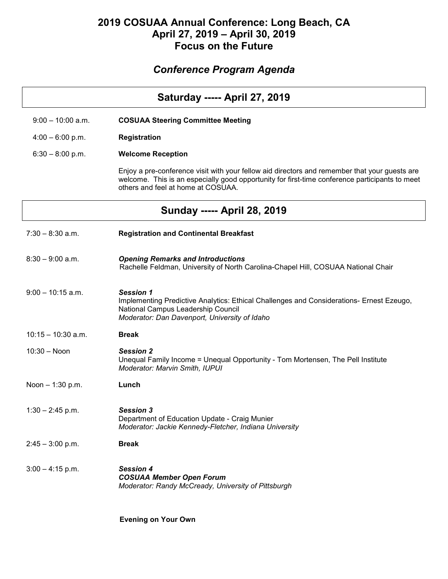## **2019 COSUAA Annual Conference: Long Beach, CA April 27, 2019 – April 30, 2019 Focus on the Future**

## *Conference Program Agenda*

| <b>Saturday ----- April 27, 2019</b> |                                                                                                                                                                                                                                       |
|--------------------------------------|---------------------------------------------------------------------------------------------------------------------------------------------------------------------------------------------------------------------------------------|
| $9:00 - 10:00$ a.m.                  | <b>COSUAA Steering Committee Meeting</b>                                                                                                                                                                                              |
| $4:00 - 6:00$ p.m.                   | Registration                                                                                                                                                                                                                          |
| $6:30 - 8:00$ p.m.                   | <b>Welcome Reception</b>                                                                                                                                                                                                              |
|                                      | Enjoy a pre-conference visit with your fellow aid directors and remember that your guests are<br>welcome. This is an especially good opportunity for first-time conference participants to meet<br>others and feel at home at COSUAA. |
|                                      | <b>Sunday ----- April 28, 2019</b>                                                                                                                                                                                                    |
| $7:30 - 8:30$ a.m.                   | <b>Registration and Continental Breakfast</b>                                                                                                                                                                                         |
| $8:30 - 9:00$ a.m.                   | <b>Opening Remarks and Introductions</b><br>Rachelle Feldman, University of North Carolina-Chapel Hill, COSUAA National Chair                                                                                                         |
| $9:00 - 10:15$ a.m.                  | <b>Session 1</b><br>Implementing Predictive Analytics: Ethical Challenges and Considerations- Ernest Ezeugo,<br>National Campus Leadership Council<br>Moderator: Dan Davenport, University of Idaho                                   |
| $10:15 - 10:30$ a.m.                 | <b>Break</b>                                                                                                                                                                                                                          |
| $10:30 - N$ oon                      | <b>Session 2</b><br>Unequal Family Income = Unequal Opportunity - Tom Mortensen, The Pell Institute<br>Moderator: Marvin Smith, IUPUI                                                                                                 |
| Noon $-1:30$ p.m.                    | Lunch                                                                                                                                                                                                                                 |
| $1:30 - 2:45$ p.m.                   | <b>Session 3</b><br>Department of Education Update - Craig Munier<br>Moderator: Jackie Kennedy-Fletcher, Indiana University                                                                                                           |
| $2:45 - 3:00$ p.m.                   | <b>Break</b>                                                                                                                                                                                                                          |
| $3:00 - 4:15$ p.m.                   | <b>Session 4</b><br><b>COSUAA Member Open Forum</b><br>Moderator: Randy McCready, University of Pittsburgh                                                                                                                            |

 **Evening on Your Own**